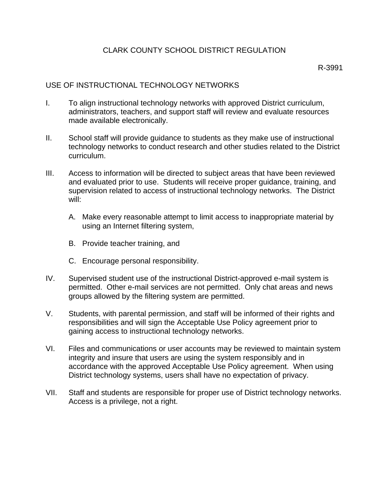## CLARK COUNTY SCHOOL DISTRICT REGULATION

## USE OF INSTRUCTIONAL TECHNOLOGY NETWORKS

- I. To align instructional technology networks with approved District curriculum, administrators, teachers, and support staff will review and evaluate resources made available electronically.
- II. School staff will provide guidance to students as they make use of instructional technology networks to conduct research and other studies related to the District curriculum.
- III. Access to information will be directed to subject areas that have been reviewed and evaluated prior to use. Students will receive proper guidance, training, and supervision related to access of instructional technology networks. The District will:
	- A. Make every reasonable attempt to limit access to inappropriate material by using an Internet filtering system,
	- B. Provide teacher training, and
	- C. Encourage personal responsibility.
- IV. Supervised student use of the instructional District-approved e-mail system is permitted. Other e-mail services are not permitted. Only chat areas and news groups allowed by the filtering system are permitted.
- V. Students, with parental permission, and staff will be informed of their rights and responsibilities and will sign the Acceptable Use Policy agreement prior to gaining access to instructional technology networks.
- VI. Files and communications or user accounts may be reviewed to maintain system integrity and insure that users are using the system responsibly and in accordance with the approved Acceptable Use Policy agreement. When using District technology systems, users shall have no expectation of privacy.
- VII. Staff and students are responsible for proper use of District technology networks. Access is a privilege, not a right.